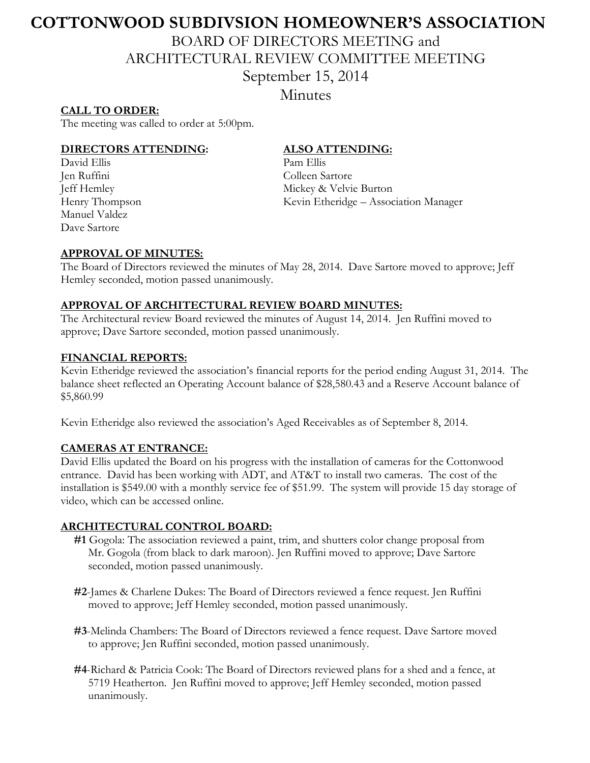# **COTTONWOOD SUBDIVSION HOMEOWNER'S ASSOCIATION**

BOARD OF DIRECTORS MEETING and

ARCHITECTURAL REVIEW COMMITTEE MEETING

September 15, 2014

Minutes

### **CALL TO ORDER:**

The meeting was called to order at 5:00pm.

#### **DIRECTORS ATTENDING: ALSO ATTENDING:**

David Ellis Pam Ellis Jen Ruffini Colleen Sartore Manuel Valdez Dave Sartore

Jeff Hemley Mickey & Velvie Burton Henry Thompson Kevin Etheridge – Association Manager

# **APPROVAL OF MINUTES:**

The Board of Directors reviewed the minutes of May 28, 2014. Dave Sartore moved to approve; Jeff Hemley seconded, motion passed unanimously.

#### **APPROVAL OF ARCHITECTURAL REVIEW BOARD MINUTES:**

The Architectural review Board reviewed the minutes of August 14, 2014. Jen Ruffini moved to approve; Dave Sartore seconded, motion passed unanimously.

# **FINANCIAL REPORTS:**

Kevin Etheridge reviewed the association's financial reports for the period ending August 31, 2014. The balance sheet reflected an Operating Account balance of \$28,580.43 and a Reserve Account balance of \$5,860.99

Kevin Etheridge also reviewed the association's Aged Receivables as of September 8, 2014.

#### **CAMERAS AT ENTRANCE:**

David Ellis updated the Board on his progress with the installation of cameras for the Cottonwood entrance. David has been working with ADT, and AT&T to install two cameras. The cost of the installation is \$549.00 with a monthly service fee of \$51.99. The system will provide 15 day storage of video, which can be accessed online.

#### **ARCHITECTURAL CONTROL BOARD:**

- **#1** Gogola: The association reviewed a paint, trim, and shutters color change proposal from Mr. Gogola (from black to dark maroon). Jen Ruffini moved to approve; Dave Sartore seconded, motion passed unanimously.
- **#2**-James & Charlene Dukes: The Board of Directors reviewed a fence request. Jen Ruffini moved to approve; Jeff Hemley seconded, motion passed unanimously.
- **#3**-Melinda Chambers: The Board of Directors reviewed a fence request. Dave Sartore moved to approve; Jen Ruffini seconded, motion passed unanimously.
- **#4**-Richard & Patricia Cook: The Board of Directors reviewed plans for a shed and a fence, at 5719 Heatherton. Jen Ruffini moved to approve; Jeff Hemley seconded, motion passed unanimously.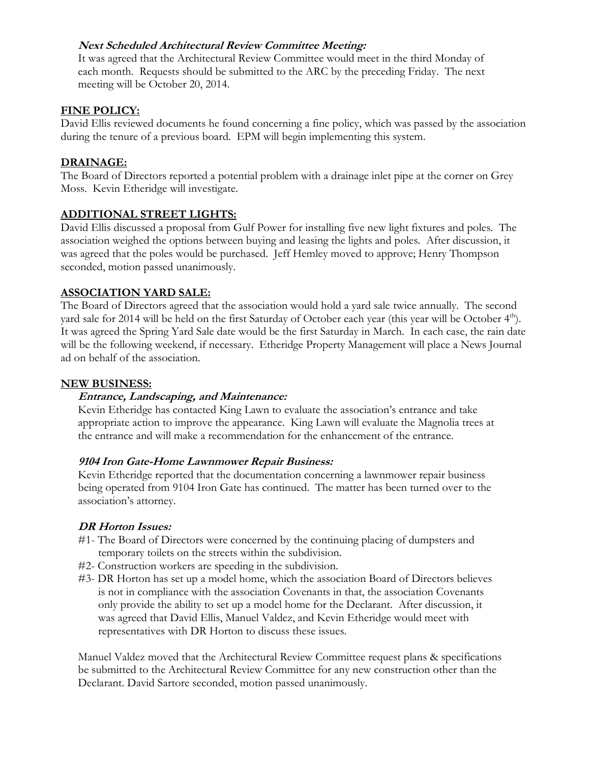# **Next Scheduled Architectural Review Committee Meeting:**

It was agreed that the Architectural Review Committee would meet in the third Monday of each month. Requests should be submitted to the ARC by the preceding Friday. The next meeting will be October 20, 2014.

#### **FINE POLICY:**

David Ellis reviewed documents he found concerning a fine policy, which was passed by the association during the tenure of a previous board. EPM will begin implementing this system.

### **DRAINAGE:**

The Board of Directors reported a potential problem with a drainage inlet pipe at the corner on Grey Moss. Kevin Etheridge will investigate.

#### **ADDITIONAL STREET LIGHTS:**

David Ellis discussed a proposal from Gulf Power for installing five new light fixtures and poles. The association weighed the options between buying and leasing the lights and poles. After discussion, it was agreed that the poles would be purchased. Jeff Hemley moved to approve; Henry Thompson seconded, motion passed unanimously.

# **ASSOCIATION YARD SALE:**

The Board of Directors agreed that the association would hold a yard sale twice annually. The second yard sale for 2014 will be held on the first Saturday of October each year (this year will be October  $4<sup>th</sup>$ ). It was agreed the Spring Yard Sale date would be the first Saturday in March. In each case, the rain date will be the following weekend, if necessary. Etheridge Property Management will place a News Journal ad on behalf of the association.

#### **NEW BUSINESS:**

#### **Entrance, Landscaping, and Maintenance:**

Kevin Etheridge has contacted King Lawn to evaluate the association's entrance and take appropriate action to improve the appearance. King Lawn will evaluate the Magnolia trees at the entrance and will make a recommendation for the enhancement of the entrance.

#### **9104 Iron Gate-Home Lawnmower Repair Business:**

Kevin Etheridge reported that the documentation concerning a lawnmower repair business being operated from 9104 Iron Gate has continued. The matter has been turned over to the association's attorney.

#### **DR Horton Issues:**

- #1- The Board of Directors were concerned by the continuing placing of dumpsters and temporary toilets on the streets within the subdivision.
- #2- Construction workers are speeding in the subdivision.
- #3- DR Horton has set up a model home, which the association Board of Directors believes is not in compliance with the association Covenants in that, the association Covenants only provide the ability to set up a model home for the Declarant. After discussion, it was agreed that David Ellis, Manuel Valdez, and Kevin Etheridge would meet with representatives with DR Horton to discuss these issues.

Manuel Valdez moved that the Architectural Review Committee request plans & specifications be submitted to the Architectural Review Committee for any new construction other than the Declarant. David Sartore seconded, motion passed unanimously.